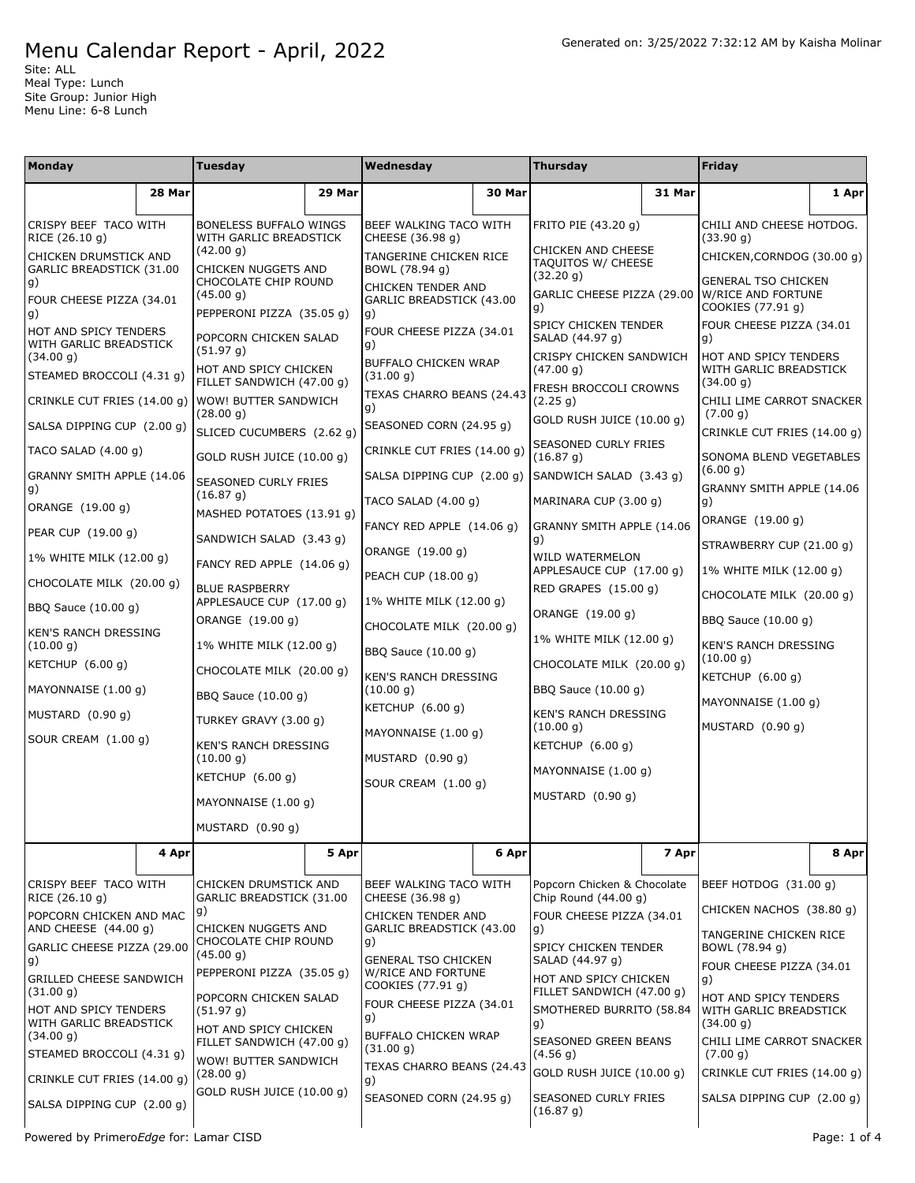Site: ALL Meal Type: Lunch Site Group: Junior High Menu Line: 6-8 Lunch

| Monday                                                     |        | Tuesday                                                  |                                                      | Wednesday                                                                                                                                                         |                                 | Thursday                                                                                                                                                                                                                 |                                 | Friday                                                                                                                                                                                                           |                             |  |
|------------------------------------------------------------|--------|----------------------------------------------------------|------------------------------------------------------|-------------------------------------------------------------------------------------------------------------------------------------------------------------------|---------------------------------|--------------------------------------------------------------------------------------------------------------------------------------------------------------------------------------------------------------------------|---------------------------------|------------------------------------------------------------------------------------------------------------------------------------------------------------------------------------------------------------------|-----------------------------|--|
|                                                            | 28 Mar |                                                          | 29 Mar                                               |                                                                                                                                                                   | 30 Mar                          |                                                                                                                                                                                                                          | 31 Mar                          |                                                                                                                                                                                                                  | 1 Apr                       |  |
| CRISPY BEEF TACO WITH                                      |        | BONELESS BUFFALO WINGS                                   |                                                      | BEEF WALKING TACO WITH                                                                                                                                            |                                 | FRITO PIE (43.20 g)                                                                                                                                                                                                      |                                 | CHILI AND CHEESE HOTDOG.                                                                                                                                                                                         |                             |  |
| RICE (26.10 g)<br>CHICKEN DRUMSTICK AND                    |        | WITH GARLIC BREADSTICK<br>(42.00 g)                      |                                                      | CHEESE (36.98 g)<br>TANGERINE CHICKEN RICE                                                                                                                        |                                 | CHICKEN AND CHEESE<br>TAQUITOS W/ CHEESE                                                                                                                                                                                 |                                 | (33.90 g)<br>CHICKEN, CORNDOG (30.00 g)                                                                                                                                                                          |                             |  |
| GARLIC BREADSTICK (31.00<br>g)<br>FOUR CHEESE PIZZA (34.01 |        | CHICKEN NUGGETS AND<br>CHOCOLATE CHIP ROUND<br>(45.00 g) |                                                      | BOWL (78.94 g)<br>CHICKEN TENDER AND<br>GARLIC BREADSTICK (43.00                                                                                                  |                                 | (32.20 g)<br>GARLIC CHEESE PIZZA (29.00<br>g)                                                                                                                                                                            |                                 | GENERAL TSO CHICKEN<br>W/RICE AND FORTUNE<br>COOKIES (77.91 q)                                                                                                                                                   |                             |  |
| lg)<br>HOT AND SPICY TENDERS<br>WITH GARLIC BREADSTICK     |        | PEPPERONI PIZZA (35.05 g)<br>POPCORN CHICKEN SALAD       |                                                      | g)<br>FOUR CHEESE PIZZA (34.01<br>g)                                                                                                                              |                                 | SPICY CHICKEN TENDER<br>SALAD (44.97 q)                                                                                                                                                                                  |                                 | FOUR CHEESE PIZZA (34.01<br>g)                                                                                                                                                                                   |                             |  |
| (34.00 g)<br>STEAMED BROCCOLI (4.31 g)                     |        | (51.97 g)<br>HOT AND SPICY CHICKEN                       |                                                      | BUFFALO CHICKEN WRAP<br>(31.00 g)                                                                                                                                 |                                 | CRISPY CHICKEN SANDWICH<br>(47.00 g)                                                                                                                                                                                     |                                 | HOT AND SPICY TENDERS<br>WITH GARLIC BREADSTICK                                                                                                                                                                  |                             |  |
| CRINKLE CUT FRIES (14.00 g)                                |        | FILLET SANDWICH (47.00 g)<br><b>WOW! BUTTER SANDWICH</b> |                                                      | TEXAS CHARRO BEANS (24.43<br>g)                                                                                                                                   |                                 | FRESH BROCCOLI CROWNS<br>(2.25 g)                                                                                                                                                                                        |                                 | (34.00 g)<br>CHILI LIME CARROT SNACKER<br>(7.00 g)                                                                                                                                                               |                             |  |
| SALSA DIPPING CUP (2.00 g)                                 |        | (28.00 g)<br>SLICED CUCUMBERS (2.62 g)                   |                                                      | SEASONED CORN (24.95 g)                                                                                                                                           |                                 | SEASONED CURLY FRIES                                                                                                                                                                                                     | GOLD RUSH JUICE (10.00 g)       |                                                                                                                                                                                                                  | CRINKLE CUT FRIES (14.00 g) |  |
| TACO SALAD (4.00 g)<br>GRANNY SMITH APPLE (14.06           |        | GOLD RUSH JUICE (10.00 g)                                |                                                      | CRINKLE CUT FRIES (14.00 g)<br>SALSA DIPPING CUP (2.00 g)                                                                                                         |                                 | (16.87 g)                                                                                                                                                                                                                |                                 | SONOMA BLEND VEGETABLES<br>(6.00 q)                                                                                                                                                                              |                             |  |
| g)                                                         |        | SEASONED CURLY FRIES<br>(16.87 g)                        |                                                      | TACO SALAD (4.00 g)                                                                                                                                               |                                 | SANDWICH SALAD (3.43 g)<br>MARINARA CUP (3.00 g)                                                                                                                                                                         |                                 | GRANNY SMITH APPLE (14.06<br>g)                                                                                                                                                                                  |                             |  |
| ORANGE (19.00 g)<br>PEAR CUP (19.00 g)                     |        |                                                          | MASHED POTATOES (13.91 g)<br>SANDWICH SALAD (3.43 g) |                                                                                                                                                                   | FANCY RED APPLE (14.06 g)       |                                                                                                                                                                                                                          | GRANNY SMITH APPLE (14.06<br>g) |                                                                                                                                                                                                                  |                             |  |
| 1% WHITE MILK (12.00 g)                                    |        | FANCY RED APPLE (14.06 g)                                |                                                      | ORANGE (19.00 g)<br>PEACH CUP (18.00 g)<br>1% WHITE MILK (12.00 g)<br>CHOCOLATE MILK (20.00 g)<br>BBQ Sauce (10.00 g)<br><b>KEN'S RANCH DRESSING</b><br>(10.00 g) |                                 | <b>WILD WATERMELON</b><br>APPLESAUCE CUP (17.00 g)<br>RED GRAPES (15.00 g)<br>ORANGE (19.00 g)<br>1% WHITE MILK (12.00 g)<br>CHOCOLATE MILK (20.00 g)<br>BBQ Sauce (10.00 g)<br><b>KEN'S RANCH DRESSING</b><br>(10.00 g) |                                 | STRAWBERRY CUP (21.00 g)<br>1% WHITE MILK (12.00 g)<br>CHOCOLATE MILK (20.00 g)<br>BBQ Sauce (10.00 g)<br>KEN'S RANCH DRESSING<br>(10.00 g)<br>KETCHUP $(6.00 g)$<br>MAYONNAISE $(1.00 g)$<br>MUSTARD $(0.90 g)$ |                             |  |
| CHOCOLATE MILK (20.00 g)                                   |        | <b>BLUE RASPBERRY</b><br>APPLESAUCE CUP (17.00 g)        |                                                      |                                                                                                                                                                   |                                 |                                                                                                                                                                                                                          |                                 |                                                                                                                                                                                                                  |                             |  |
| BBQ Sauce (10.00 g)<br><b>KEN'S RANCH DRESSING</b>         |        | ORANGE (19.00 g)                                         |                                                      |                                                                                                                                                                   |                                 |                                                                                                                                                                                                                          |                                 |                                                                                                                                                                                                                  |                             |  |
| (10.00 g)<br>KETCHUP (6.00 g)                              |        | 1% WHITE MILK (12.00 g)<br>CHOCOLATE MILK (20.00 g)      |                                                      |                                                                                                                                                                   |                                 |                                                                                                                                                                                                                          |                                 |                                                                                                                                                                                                                  |                             |  |
| MAYONNAISE (1.00 g)                                        |        | BBQ Sauce (10.00 g)                                      |                                                      |                                                                                                                                                                   |                                 |                                                                                                                                                                                                                          |                                 |                                                                                                                                                                                                                  |                             |  |
| MUSTARD (0.90 g)                                           |        | TURKEY GRAVY (3.00 g)                                    |                                                      | KETCHUP (6.00 g)<br>MAYONNAISE (1.00 g)                                                                                                                           |                                 |                                                                                                                                                                                                                          |                                 |                                                                                                                                                                                                                  |                             |  |
| SOUR CREAM (1.00 g)                                        |        | KEN'S RANCH DRESSING<br>(10.00 g)                        |                                                      | MUSTARD (0.90 g)                                                                                                                                                  |                                 | KETCHUP (6.00 g)                                                                                                                                                                                                         |                                 |                                                                                                                                                                                                                  |                             |  |
|                                                            |        | KETCHUP (6.00 g)                                         |                                                      | SOUR CREAM (1.00 g)                                                                                                                                               |                                 | MAYONNAISE (1.00 g)<br>MUSTARD (0.90 g)                                                                                                                                                                                  |                                 |                                                                                                                                                                                                                  |                             |  |
|                                                            |        | MAYONNAISE (1.00 g)                                      |                                                      |                                                                                                                                                                   |                                 |                                                                                                                                                                                                                          |                                 |                                                                                                                                                                                                                  |                             |  |
|                                                            |        | MUSTARD $(0.90 g)$                                       |                                                      |                                                                                                                                                                   |                                 |                                                                                                                                                                                                                          |                                 |                                                                                                                                                                                                                  |                             |  |
|                                                            | 4 Apr  |                                                          | 5 Apr                                                |                                                                                                                                                                   | 6 Apr                           |                                                                                                                                                                                                                          | 7 Apr                           |                                                                                                                                                                                                                  | 8 Apr                       |  |
| CRISPY BEEF TACO WITH<br>RICE (26.10 g)                    |        | CHICKEN DRUMSTICK AND<br>GARLIC BREADSTICK (31.00        |                                                      | BEEF WALKING TACO WITH<br>CHEESE (36.98 g)                                                                                                                        |                                 | Popcorn Chicken & Chocolate<br>Chip Round $(44.00 g)$                                                                                                                                                                    |                                 | BEEF HOTDOG (31.00 g)                                                                                                                                                                                            |                             |  |
| POPCORN CHICKEN AND MAC<br>AND CHEESE (44.00 g)            |        | g)<br>CHICKEN NUGGETS AND                                |                                                      | CHICKEN TENDER AND<br>GARLIC BREADSTICK (43.00                                                                                                                    |                                 | FOUR CHEESE PIZZA (34.01<br>g)                                                                                                                                                                                           |                                 | CHICKEN NACHOS (38.80 g)<br>TANGERINE CHICKEN RICE                                                                                                                                                               |                             |  |
| GARLIC CHEESE PIZZA (29.00<br>g)                           |        | CHOCOLATE CHIP ROUND<br>(45.00 g)                        |                                                      | g)<br><b>GENERAL TSO CHICKEN</b>                                                                                                                                  |                                 | SPICY CHICKEN TENDER<br>SALAD (44.97 g)                                                                                                                                                                                  |                                 | BOWL (78.94 g)<br>FOUR CHEESE PIZZA (34.01                                                                                                                                                                       |                             |  |
| <b>GRILLED CHEESE SANDWICH</b><br>(31.00 g)                |        | PEPPERONI PIZZA (35.05 g)<br>POPCORN CHICKEN SALAD       |                                                      | W/RICE AND FORTUNE<br>COOKIES (77.91 g)                                                                                                                           |                                 | HOT AND SPICY CHICKEN<br>FILLET SANDWICH (47.00 g)                                                                                                                                                                       |                                 | g)<br>HOT AND SPICY TENDERS                                                                                                                                                                                      |                             |  |
| HOT AND SPICY TENDERS<br>WITH GARLIC BREADSTICK            |        | (51.97 g)<br>HOT AND SPICY CHICKEN                       |                                                      | FOUR CHEESE PIZZA (34.01<br>g)                                                                                                                                    |                                 | SMOTHERED BURRITO (58.84<br>g)                                                                                                                                                                                           |                                 | WITH GARLIC BREADSTICK<br>(34.00 g)                                                                                                                                                                              |                             |  |
| (34.00 g)<br>STEAMED BROCCOLI (4.31 g)                     |        | FILLET SANDWICH (47.00 g)<br>WOW! BUTTER SANDWICH        |                                                      | BUFFALO CHICKEN WRAP<br>(31.00 g)                                                                                                                                 |                                 | SEASONED GREEN BEANS<br>(4.56 g)                                                                                                                                                                                         |                                 | CHILI LIME CARROT SNACKER<br>(7.00 g)                                                                                                                                                                            |                             |  |
| CRINKLE CUT FRIES (14.00 g)                                |        | (28.00 g)                                                | GOLD RUSH JUICE (10.00 g)                            |                                                                                                                                                                   | TEXAS CHARRO BEANS (24.43<br>g) |                                                                                                                                                                                                                          | GOLD RUSH JUICE (10.00 g)       |                                                                                                                                                                                                                  | CRINKLE CUT FRIES (14.00 g) |  |
| SALSA DIPPING CUP (2.00 g)                                 |        |                                                          |                                                      | SEASONED CORN (24.95 g)                                                                                                                                           |                                 | SEASONED CURLY FRIES<br>(16.87 g)                                                                                                                                                                                        |                                 | SALSA DIPPING CUP (2.00 g)                                                                                                                                                                                       |                             |  |
| Powered by PrimeroEdge for: Lamar CISD                     |        |                                                          |                                                      |                                                                                                                                                                   |                                 |                                                                                                                                                                                                                          |                                 |                                                                                                                                                                                                                  | Page: 1 of 4                |  |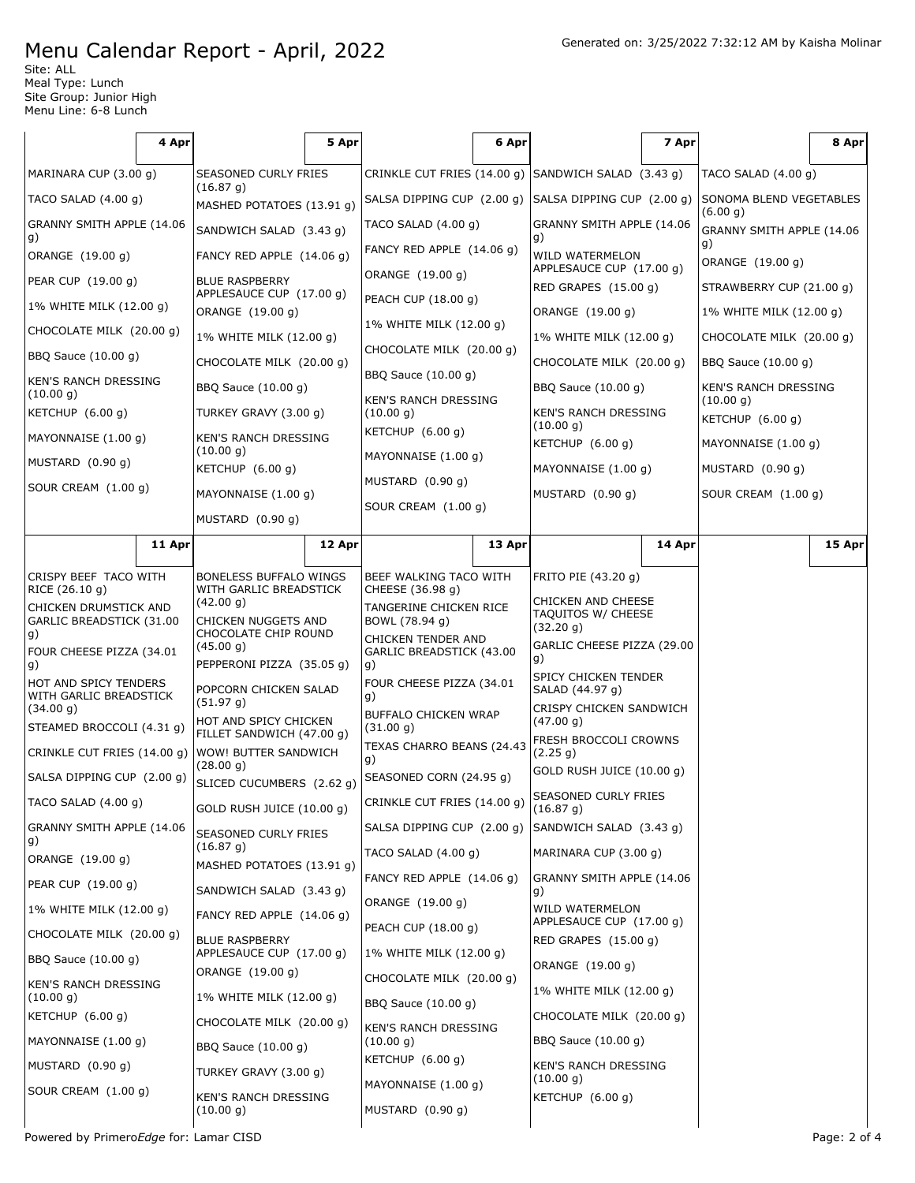Site: ALL Meal Type: Lunch Site Group: Junior High Menu Line: 6-8 Lunch

|                                                   | 4 Apr                 |                                                      | 5 Apr                     |                                                                | 6 Apr                      |                                                     | 7 Apr                      |                                              | 8 Apr                   |  |
|---------------------------------------------------|-----------------------|------------------------------------------------------|---------------------------|----------------------------------------------------------------|----------------------------|-----------------------------------------------------|----------------------------|----------------------------------------------|-------------------------|--|
| MARINARA CUP (3.00 g)                             |                       | <b>SEASONED CURLY FRIES</b>                          |                           |                                                                |                            | CRINKLE CUT FRIES (14.00 g) SANDWICH SALAD (3.43 g) |                            | TACO SALAD $(4.00 g)$                        |                         |  |
| TACO SALAD $(4.00 g)$                             |                       | (16.87 g)                                            | MASHED POTATOES (13.91 g) |                                                                | SALSA DIPPING CUP (2.00 g) |                                                     | SALSA DIPPING CUP (2.00 g) |                                              | SONOMA BLEND VEGETABLES |  |
| GRANNY SMITH APPLE (14.06                         |                       | SANDWICH SALAD (3.43 g)                              |                           | TACO SALAD $(4.00 g)$                                          |                            | GRANNY SMITH APPLE (14.06                           |                            | (6.00 g)<br>GRANNY SMITH APPLE (14.06        |                         |  |
| g)<br>ORANGE (19.00 g)                            |                       | FANCY RED APPLE $(14.06 g)$                          |                           | FANCY RED APPLE (14.06 g)                                      |                            | g)<br>WILD WATERMELON                               |                            | g)                                           |                         |  |
| PEAR CUP (19.00 g)                                |                       | <b>BLUE RASPBERRY</b>                                |                           | ORANGE (19.00 g)                                               |                            | APPLESAUCE CUP (17.00 g)                            |                            | ORANGE (19.00 g)<br>STRAWBERRY CUP (21.00 g) |                         |  |
| 1% WHITE MILK (12.00 g)                           |                       | APPLESAUCE CUP (17.00 g)<br>ORANGE (19.00 g)         |                           | PEACH CUP (18.00 g)                                            |                            | RED GRAPES (15.00 g)<br>ORANGE (19.00 g)            |                            | 1% WHITE MILK (12.00 g)                      |                         |  |
| CHOCOLATE MILK (20.00 g)                          |                       | 1% WHITE MILK (12.00 g)                              |                           | 1% WHITE MILK (12.00 g)                                        |                            | 1% WHITE MILK (12.00 g)                             |                            | CHOCOLATE MILK (20.00 g)                     |                         |  |
| BBQ Sauce (10.00 g)                               |                       | CHOCOLATE MILK (20.00 g)                             |                           | CHOCOLATE MILK (20.00 g)<br>BBQ Sauce (10.00 g)                |                            | CHOCOLATE MILK (20.00 g)<br>BBQ Sauce (10.00 g)     |                            | BBQ Sauce (10.00 g)<br>KEN'S RANCH DRESSING  |                         |  |
| <b>KEN'S RANCH DRESSING</b>                       |                       | BBQ Sauce (10.00 g)                                  |                           |                                                                |                            |                                                     |                            |                                              |                         |  |
| (10.00 g)<br>KETCHUP (6.00 g)                     |                       | TURKEY GRAVY (3.00 g)                                |                           | <b>KEN'S RANCH DRESSING</b><br>(10.00 g)<br>KETCHUP $(6.00 g)$ |                            | KEN'S RANCH DRESSING                                |                            | (10.00 g)                                    |                         |  |
| MAYONNAISE (1.00 q)                               |                       | <b>KEN'S RANCH DRESSING</b>                          |                           |                                                                |                            | (10.00 g)                                           |                            | KETCHUP (6.00 g)                             |                         |  |
| MUSTARD (0.90 g)                                  |                       | (10.00 g)<br>KETCHUP $(6.00 g)$                      |                           | MAYONNAISE (1.00 g)                                            |                            | KETCHUP $(6.00 g)$                                  |                            | MAYONNAISE (1.00 g)                          |                         |  |
| SOUR CREAM (1.00 g)                               |                       | MAYONNAISE (1.00 g)                                  |                           | MUSTARD (0.90 g)                                               |                            | MAYONNAISE (1.00 g)<br>MUSTARD (0.90 g)             |                            | MUSTARD $(0.90 g)$<br>SOUR CREAM (1.00 g)    |                         |  |
|                                                   |                       | MUSTARD (0.90 g)                                     |                           | SOUR CREAM (1.00 g)                                            |                            |                                                     |                            |                                              |                         |  |
|                                                   | 11 Apr                |                                                      | 12 Apr                    |                                                                | 13 Apr                     |                                                     | 14 Apr                     |                                              | 15 Apr                  |  |
|                                                   |                       | <b>BONELESS BUFFALO WINGS</b>                        |                           |                                                                |                            |                                                     |                            |                                              |                         |  |
| RICE (26.10 g)                                    | CRISPY BEEF TACO WITH |                                                      | WITH GARLIC BREADSTICK    | BEEF WALKING TACO WITH<br>CHEESE (36.98 g)                     |                            | FRITO PIE (43.20 g)<br><b>CHICKEN AND CHEESE</b>    |                            |                                              |                         |  |
| CHICKEN DRUMSTICK AND<br>GARLIC BREADSTICK (31.00 |                       | (42.00 g)<br>CHICKEN NUGGETS AND                     |                           | TANGERINE CHICKEN RICE<br>BOWL (78.94 g)                       |                            | <b>TAQUITOS W/ CHEESE</b><br>(32.20 g)              |                            |                                              |                         |  |
| g)<br>FOUR CHEESE PIZZA (34.01                    |                       | CHOCOLATE CHIP ROUND<br>(45.00 g)                    |                           | CHICKEN TENDER AND<br>GARLIC BREADSTICK (43.00                 |                            | GARLIC CHEESE PIZZA (29.00                          |                            |                                              |                         |  |
| g)                                                |                       | PEPPERONI PIZZA (35.05 g)                            |                           | g)<br>FOUR CHEESE PIZZA (34.01                                 |                            | g)<br>SPICY CHICKEN TENDER                          |                            |                                              |                         |  |
| HOT AND SPICY TENDERS<br>WITH GARLIC BREADSTICK   |                       | POPCORN CHICKEN SALAD<br>(51.97 g)                   |                           | g)                                                             |                            | SALAD (44.97 g)<br>CRISPY CHICKEN SANDWICH          |                            |                                              |                         |  |
| (34.00 g)<br>STEAMED BROCCOLI (4.31 g)            |                       | HOT AND SPICY CHICKEN<br>FILLET SANDWICH (47.00 g)   |                           | BUFFALO CHICKEN WRAP<br>(31.00 g)                              |                            | (47.00 g)                                           |                            |                                              |                         |  |
| CRINKLE CUT FRIES (14.00 g)                       |                       | <b>WOW! BUTTER SANDWICH</b>                          |                           | TEXAS CHARRO BEANS (24.43<br>g)                                |                            | FRESH BROCCOLI CROWNS<br>(2.25 g)                   |                            |                                              |                         |  |
| SALSA DIPPING CUP (2.00 g)                        |                       | (28.00 g)<br>SLICED CUCUMBERS (2.62 g)               |                           | SEASONED CORN (24.95 g)                                        |                            | GOLD RUSH JUICE (10.00 g)                           |                            |                                              |                         |  |
| TACO SALAD (4.00 g)                               |                       | GOLD RUSH JUICE (10.00 g)                            |                           | CRINKLE CUT FRIES (14.00 g)                                    |                            | <b>SEASONED CURLY FRIES</b><br>(16.87 g)            |                            |                                              |                         |  |
| GRANNY SMITH APPLE (14.06                         |                       | SEASONED CURLY FRIES                                 |                           | SALSA DIPPING CUP (2.00 g)                                     |                            | SANDWICH SALAD (3.43 g)                             |                            |                                              |                         |  |
| g)<br>ORANGE (19.00 g)                            |                       | (16.87 g)                                            |                           | TACO SALAD $(4.00 g)$                                          |                            | MARINARA CUP (3.00 g)                               |                            |                                              |                         |  |
| PEAR CUP (19.00 g)                                |                       | MASHED POTATOES (13.91 g)<br>SANDWICH SALAD (3.43 g) |                           | FANCY RED APPLE (14.06 g)                                      |                            | GRANNY SMITH APPLE (14.06                           |                            |                                              |                         |  |
| 1% WHITE MILK (12.00 g)                           |                       | FANCY RED APPLE (14.06 g)                            |                           | ORANGE (19.00 g)                                               |                            | g)<br>WILD WATERMELON                               |                            |                                              |                         |  |
| CHOCOLATE MILK (20.00 g)                          |                       | <b>BLUE RASPBERRY</b>                                |                           | PEACH CUP (18.00 g)                                            |                            | APPLESAUCE CUP (17.00 g)<br>RED GRAPES (15.00 g)    |                            |                                              |                         |  |
|                                                   | BBQ Sauce (10.00 g)   |                                                      | APPLESAUCE CUP (17.00 g)  |                                                                | 1% WHITE MILK (12.00 g)    |                                                     | ORANGE (19.00 g)           |                                              |                         |  |
| KEN'S RANCH DRESSING                              |                       | ORANGE (19.00 g)                                     |                           | CHOCOLATE MILK (20.00 g)                                       |                            | 1% WHITE MILK (12.00 g)                             |                            |                                              |                         |  |
| (10.00 g)<br>KETCHUP (6.00 g)                     |                       | 1% WHITE MILK (12.00 g)                              |                           | BBQ Sauce (10.00 g)                                            |                            | CHOCOLATE MILK (20.00 g)                            |                            |                                              |                         |  |
| MAYONNAISE (1.00 g)                               |                       | CHOCOLATE MILK (20.00 g)                             |                           | KEN'S RANCH DRESSING<br>(10.00 g)                              |                            | BBQ Sauce (10.00 g)                                 |                            |                                              |                         |  |
| MUSTARD (0.90 g)                                  |                       | BBQ Sauce (10.00 g)                                  |                           | KETCHUP (6.00 g)                                               |                            | KEN'S RANCH DRESSING                                |                            |                                              |                         |  |
| SOUR CREAM (1.00 g)                               |                       | TURKEY GRAVY (3.00 g)<br>KEN'S RANCH DRESSING        |                           | MAYONNAISE (1.00 g)                                            |                            | (10.00 g)<br>KETCHUP (6.00 g)                       |                            |                                              |                         |  |
|                                                   |                       | (10.00 g)                                            |                           | MUSTARD (0.90 g)                                               |                            |                                                     |                            |                                              |                         |  |
| Powered by PrimeroEdge for: Lamar CISD            |                       |                                                      |                           |                                                                |                            |                                                     |                            |                                              | Page: 2 of 4            |  |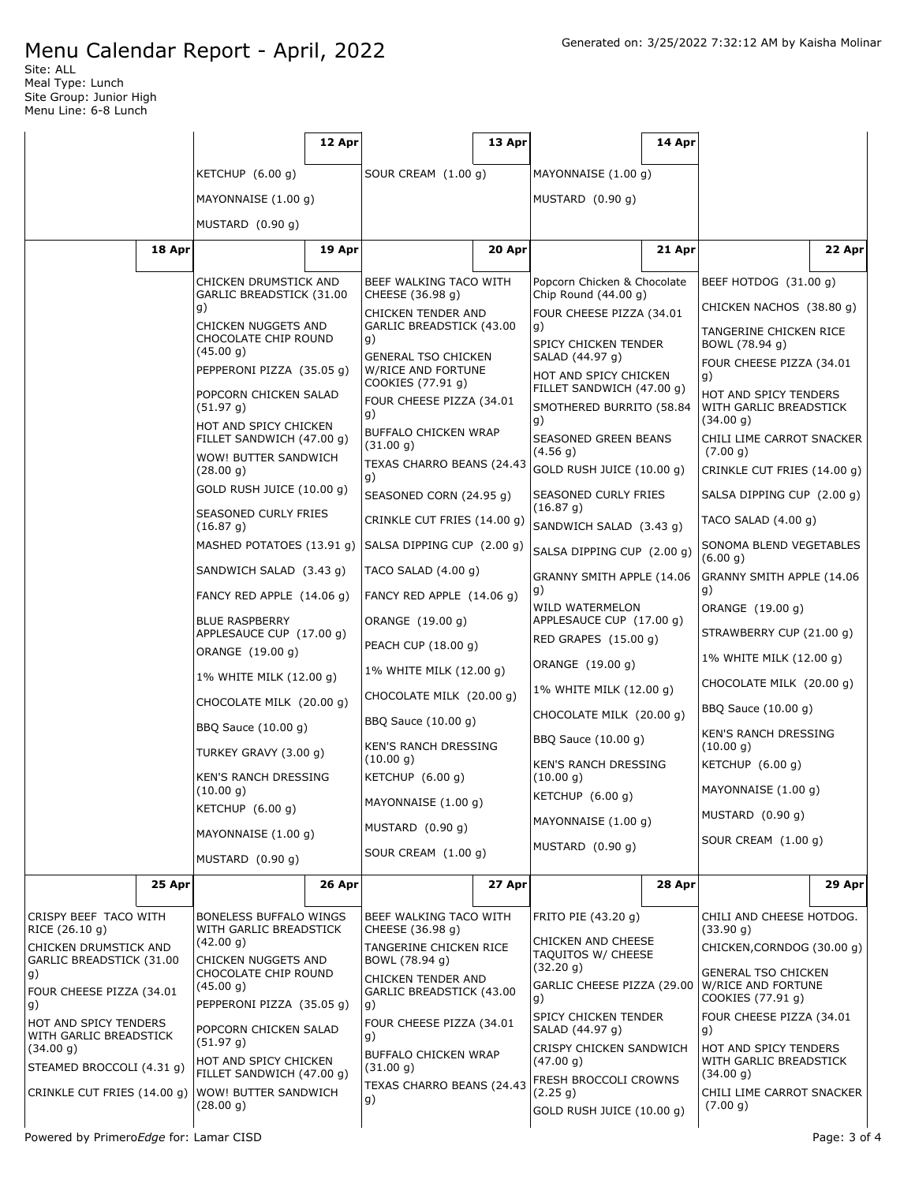Site: ALL Meal Type: Lunch Site Group: Junior High Menu Line: 6-8 Lunch

|                                                       |        |                                                                                                                      | 12 Apr   |                                                                                                                                        | 13 Apr |                                                                                                            | 14 Apr                                |                                                                       |                             |
|-------------------------------------------------------|--------|----------------------------------------------------------------------------------------------------------------------|----------|----------------------------------------------------------------------------------------------------------------------------------------|--------|------------------------------------------------------------------------------------------------------------|---------------------------------------|-----------------------------------------------------------------------|-----------------------------|
|                                                       |        | KETCHUP $(6.00 g)$                                                                                                   |          | SOUR CREAM (1.00 g)                                                                                                                    |        | MAYONNAISE (1.00 g)                                                                                        |                                       |                                                                       |                             |
|                                                       |        | MAYONNAISE (1.00 g)                                                                                                  |          |                                                                                                                                        |        | MUSTARD (0.90 g)                                                                                           |                                       |                                                                       |                             |
|                                                       |        | MUSTARD (0.90 g)                                                                                                     |          |                                                                                                                                        |        |                                                                                                            |                                       |                                                                       |                             |
|                                                       | 18 Apr |                                                                                                                      | 19 Apr   |                                                                                                                                        | 20 Apr |                                                                                                            | 21 Apr                                |                                                                       | 22 Apr                      |
|                                                       |        | CHICKEN DRUMSTICK AND                                                                                                |          | BEEF WALKING TACO WITH                                                                                                                 |        | Popcorn Chicken & Chocolate                                                                                |                                       | BEEF HOTDOG (31.00 g)                                                 |                             |
|                                                       |        | GARLIC BREADSTICK (31.00<br>g)                                                                                       |          | CHEESE (36.98 g)                                                                                                                       |        | Chip Round $(44.00 g)$                                                                                     |                                       | CHICKEN NACHOS (38.80 g)                                              |                             |
|                                                       |        | CHICKEN NUGGETS AND<br>CHOCOLATE CHIP ROUND<br>(45.00 g)<br>PEPPERONI PIZZA (35.05 g)                                |          | CHICKEN TENDER AND<br>GARLIC BREADSTICK (43.00<br>g)<br><b>GENERAL TSO CHICKEN</b><br>W/RICE AND FORTUNE<br>COOKIES (77.91 g)          |        | FOUR CHEESE PIZZA (34.01<br>g)<br>SPICY CHICKEN TENDER                                                     |                                       | TANGERINE CHICKEN RICE<br>BOWL (78.94 g)                              |                             |
|                                                       |        |                                                                                                                      |          |                                                                                                                                        |        | SALAD (44.97 g)                                                                                            | HOT AND SPICY CHICKEN                 |                                                                       | FOUR CHEESE PIZZA (34.01    |
|                                                       |        | POPCORN CHICKEN SALAD<br>(51.97 g)                                                                                   |          | FOUR CHEESE PIZZA (34.01<br>g)                                                                                                         |        | FILLET SANDWICH (47.00 g)<br>SMOTHERED BURRITO (58.84                                                      |                                       | HOT AND SPICY TENDERS<br>WITH GARLIC BREADSTICK                       |                             |
|                                                       |        | HOT AND SPICY CHICKEN<br>FILLET SANDWICH (47.00 g)                                                                   |          | <b>BUFFALO CHICKEN WRAP</b><br>(31.00 g)                                                                                               |        | g)<br>SEASONED GREEN BEANS                                                                                 |                                       | (34.00 g)<br>CHILI LIME CARROT SNACKER<br>(7.00 g)                    |                             |
|                                                       |        | WOW! BUTTER SANDWICH<br>(28.00 g)                                                                                    |          | TEXAS CHARRO BEANS (24.43                                                                                                              |        |                                                                                                            | (4.56 g)<br>GOLD RUSH JUICE (10.00 g) |                                                                       | CRINKLE CUT FRIES (14.00 g) |
|                                                       |        | GOLD RUSH JUICE (10.00 g)                                                                                            |          | g)<br>SEASONED CORN (24.95 g)                                                                                                          |        | SEASONED CURLY FRIES                                                                                       |                                       | SALSA DIPPING CUP (2.00 g)                                            |                             |
|                                                       |        | SEASONED CURLY FRIES<br>(16.87 g)                                                                                    |          | CRINKLE CUT FRIES (14.00 g)                                                                                                            |        | (16.87 g)<br>SANDWICH SALAD (3.43 g)                                                                       |                                       | TACO SALAD (4.00 g)                                                   |                             |
|                                                       |        | MASHED POTATOES (13.91 g)                                                                                            |          | SALSA DIPPING CUP (2.00 g)                                                                                                             |        | SALSA DIPPING CUP (2.00 g)                                                                                 |                                       | SONOMA BLEND VEGETABLES<br>(6.00 g)                                   |                             |
|                                                       |        | SANDWICH SALAD (3.43 g)                                                                                              |          | TACO SALAD (4.00 g)                                                                                                                    |        | GRANNY SMITH APPLE (14.06                                                                                  |                                       | GRANNY SMITH APPLE (14.06                                             |                             |
|                                                       |        | FANCY RED APPLE (14.06 g)                                                                                            |          | FANCY RED APPLE (14.06 g)                                                                                                              |        | g)<br>WILD WATERMELON                                                                                      |                                       | g)<br>ORANGE (19.00 g)                                                |                             |
|                                                       |        | <b>BLUE RASPBERRY</b><br>APPLESAUCE CUP (17.00 g)                                                                    |          | ORANGE (19.00 g)                                                                                                                       |        | APPLESAUCE CUP (17.00 g)<br>RED GRAPES (15.00 g)                                                           |                                       | STRAWBERRY CUP (21.00 g)                                              |                             |
|                                                       |        | ORANGE (19.00 g)                                                                                                     |          | PEACH CUP (18.00 g)                                                                                                                    |        | ORANGE (19.00 g)                                                                                           |                                       | 1% WHITE MILK (12.00 g)                                               |                             |
|                                                       |        | 1% WHITE MILK (12.00 g)                                                                                              |          | 1% WHITE MILK (12.00 g)                                                                                                                |        | 1% WHITE MILK (12.00 g)                                                                                    |                                       | CHOCOLATE MILK (20.00 g)                                              |                             |
|                                                       |        | CHOCOLATE MILK (20.00 g)<br>BBQ Sauce (10.00 g)<br>TURKEY GRAVY (3.00 g)<br><b>KEN'S RANCH DRESSING</b><br>(10.00 g) |          | CHOCOLATE MILK (20.00 g)<br>BBQ Sauce (10.00 g)<br><b>KEN'S RANCH DRESSING</b><br>(10.00 g)<br>KETCHUP (6.00 g)<br>MAYONNAISE (1.00 g) |        | CHOCOLATE MILK (20.00 g)<br>BBQ Sauce (10.00 g)<br>KEN'S RANCH DRESSING<br>(10.00 g)<br>KETCHUP $(6.00 q)$ |                                       | BBQ Sauce (10.00 g)<br><b>KEN'S RANCH DRESSING</b><br>(10.00 g)       |                             |
|                                                       |        |                                                                                                                      |          |                                                                                                                                        |        |                                                                                                            |                                       |                                                                       |                             |
|                                                       |        |                                                                                                                      |          |                                                                                                                                        |        |                                                                                                            |                                       | MAYONNAISE (1.00 g)                                                   |                             |
|                                                       |        |                                                                                                                      |          |                                                                                                                                        |        |                                                                                                            |                                       |                                                                       |                             |
|                                                       |        | MAYONNAISE $(1.00 g)$                                                                                                |          | SOUR CREAM (1.00 g)                                                                                                                    |        | MUSTARD $(0.90 g)$                                                                                         |                                       | SOUR CREAM (1.00 g)                                                   |                             |
|                                                       | 25 Apr | MUSTARD (0.90 g)                                                                                                     |          |                                                                                                                                        |        |                                                                                                            |                                       |                                                                       |                             |
|                                                       |        |                                                                                                                      | $26$ Apr |                                                                                                                                        | 27 Apr |                                                                                                            | 28 Apr                                |                                                                       | 29 Apr                      |
| CRISPY BEEF TACO WITH<br>RICE (26.10 g)               |        | BONELESS BUFFALO WINGS<br>WITH GARLIC BREADSTICK<br>(42.00 g)                                                        |          | BEEF WALKING TACO WITH<br>CHEESE (36.98 g)                                                                                             |        | FRITO PIE (43.20 g)<br>CHICKEN AND CHEESE                                                                  |                                       | CHILI AND CHEESE HOTDOG.<br>(33.90 g)                                 |                             |
| CHICKEN DRUMSTICK AND<br>GARLIC BREADSTICK (31.00     |        | CHICKEN NUGGETS AND                                                                                                  |          | TANGERINE CHICKEN RICE<br>BOWL (78.94 g)                                                                                               |        | TAQUITOS W/ CHEESE<br>(32.20 g)                                                                            |                                       | CHICKEN, CORNDOG (30.00 g)                                            |                             |
| g)<br>FOUR CHEESE PIZZA (34.01                        |        | CHOCOLATE CHIP ROUND<br>(45.00 g)<br>PEPPERONI PIZZA (35.05 g)                                                       |          | CHICKEN TENDER AND<br>GARLIC BREADSTICK (43.00<br>g)                                                                                   |        | GARLIC CHEESE PIZZA (29.00<br>g)                                                                           |                                       | <b>GENERAL TSO CHICKEN</b><br>W/RICE AND FORTUNE<br>COOKIES (77.91 g) |                             |
| g)<br>HOT AND SPICY TENDERS<br>WITH GARLIC BREADSTICK |        | POPCORN CHICKEN SALAD<br>(51.97 g)                                                                                   |          | FOUR CHEESE PIZZA (34.01<br>g)                                                                                                         |        | SPICY CHICKEN TENDER<br>SALAD (44.97 g)                                                                    |                                       | FOUR CHEESE PIZZA (34.01<br>g)                                        |                             |
| (34.00 g)<br>STEAMED BROCCOLI (4.31 g)                |        | HOT AND SPICY CHICKEN<br>FILLET SANDWICH (47.00 g)                                                                   |          | BUFFALO CHICKEN WRAP<br>(31.00 g)                                                                                                      |        | CRISPY CHICKEN SANDWICH<br>(47.00 g)                                                                       |                                       | HOT AND SPICY TENDERS<br>WITH GARLIC BREADSTICK<br>(34.00 g)          |                             |
| CRINKLE CUT FRIES (14.00 g) WOW! BUTTER SANDWICH      |        | (28.00 g)                                                                                                            |          | TEXAS CHARRO BEANS (24.43<br>g)                                                                                                        |        | FRESH BROCCOLI CROWNS<br>(2.25 g)<br>GOLD RUSH JUICE (10.00 g)                                             |                                       | CHILI LIME CARROT SNACKER<br>(7.00 g)                                 |                             |
| Powered by PrimeroEdge for: Lamar CISD                |        |                                                                                                                      |          |                                                                                                                                        |        |                                                                                                            |                                       |                                                                       | Page: 3 of 4                |